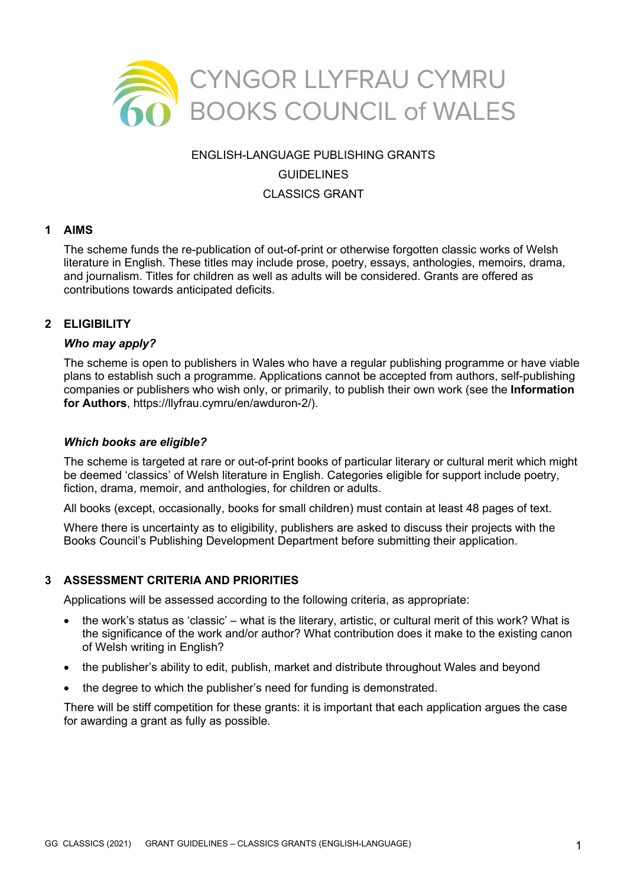

#### ENGLISH-LANGUAGE PUBLISHING GRANTS

#### **GUIDELINES**

#### CLASSICS GRANT

#### **1 AIMS**

The scheme funds the re-publication of out-of-print or otherwise forgotten classic works of Welsh literature in English. These titles may include prose, poetry, essays, anthologies, memoirs, drama, and journalism. Titles for children as well as adults will be considered. Grants are offered as contributions towards anticipated deficits.

## **2 ELIGIBILITY**

#### *Who may apply?*

The scheme is open to publishers in Wales who have a regular publishing programme or have viable plans to establish such a programme. Applications cannot be accepted from authors, self-publishing companies or publishers who wish only, or primarily, to publish their own work (see the **Information for Authors**, https://llyfrau.cymru/en/awduron-2/).

#### *Which books are eligible?*

The scheme is targeted at rare or out-of-print books of particular literary or cultural merit which might be deemed 'classics' of Welsh literature in English. Categories eligible for support include poetry, fiction, drama, memoir, and anthologies, for children or adults.

All books (except, occasionally, books for small children) must contain at least 48 pages of text.

Where there is uncertainty as to eligibility, publishers are asked to discuss their projects with the Books Council's Publishing Development Department before submitting their application.

## **3 ASSESSMENT CRITERIA AND PRIORITIES**

Applications will be assessed according to the following criteria, as appropriate:

- the work's status as 'classic' what is the literary, artistic, or cultural merit of this work? What is the significance of the work and/or author? What contribution does it make to the existing canon of Welsh writing in English?
- the publisher's ability to edit, publish, market and distribute throughout Wales and beyond
- the degree to which the publisher's need for funding is demonstrated.

There will be stiff competition for these grants: it is important that each application argues the case for awarding a grant as fully as possible.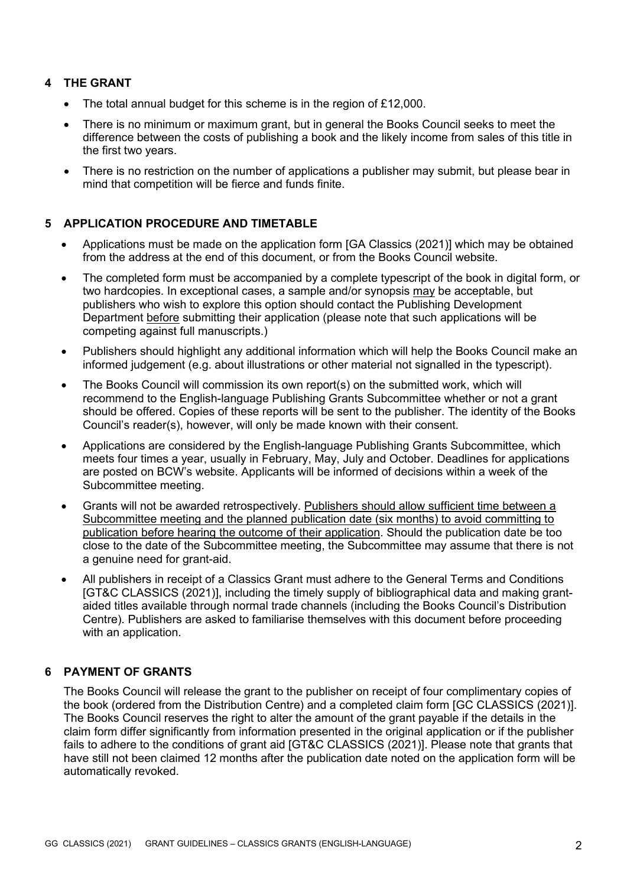# **4 THE GRANT**

- The total annual budget for this scheme is in the region of £12,000.
- There is no minimum or maximum grant, but in general the Books Council seeks to meet the difference between the costs of publishing a book and the likely income from sales of this title in the first two years.
- There is no restriction on the number of applications a publisher may submit, but please bear in mind that competition will be fierce and funds finite.

## **5 APPLICATION PROCEDURE AND TIMETABLE**

- Applications must be made on the application form [GA Classics (2021)] which may be obtained from the address at the end of this document, or from the Books Council website.
- The completed form must be accompanied by a complete typescript of the book in digital form, or two hardcopies. In exceptional cases, a sample and/or synopsis may be acceptable, but publishers who wish to explore this option should contact the Publishing Development Department before submitting their application (please note that such applications will be competing against full manuscripts.)
- Publishers should highlight any additional information which will help the Books Council make an informed judgement (e.g. about illustrations or other material not signalled in the typescript).
- The Books Council will commission its own report(s) on the submitted work, which will recommend to the English-language Publishing Grants Subcommittee whether or not a grant should be offered. Copies of these reports will be sent to the publisher. The identity of the Books Council's reader(s), however, will only be made known with their consent.
- Applications are considered by the English-language Publishing Grants Subcommittee, which meets four times a year, usually in February, May, July and October. Deadlines for applications are posted on BCW's website. Applicants will be informed of decisions within a week of the Subcommittee meeting.
- Grants will not be awarded retrospectively. Publishers should allow sufficient time between a Subcommittee meeting and the planned publication date (six months) to avoid committing to publication before hearing the outcome of their application. Should the publication date be too close to the date of the Subcommittee meeting, the Subcommittee may assume that there is not a genuine need for grant-aid.
- All publishers in receipt of a Classics Grant must adhere to the General Terms and Conditions [GT&C CLASSICS (2021)], including the timely supply of bibliographical data and making grantaided titles available through normal trade channels (including the Books Council's Distribution Centre). Publishers are asked to familiarise themselves with this document before proceeding with an application.

## **6 PAYMENT OF GRANTS**

The Books Council will release the grant to the publisher on receipt of four complimentary copies of the book (ordered from the Distribution Centre) and a completed claim form [GC CLASSICS (2021)]. The Books Council reserves the right to alter the amount of the grant payable if the details in the claim form differ significantly from information presented in the original application or if the publisher fails to adhere to the conditions of grant aid [GT&C CLASSICS (2021)]. Please note that grants that have still not been claimed 12 months after the publication date noted on the application form will be automatically revoked.